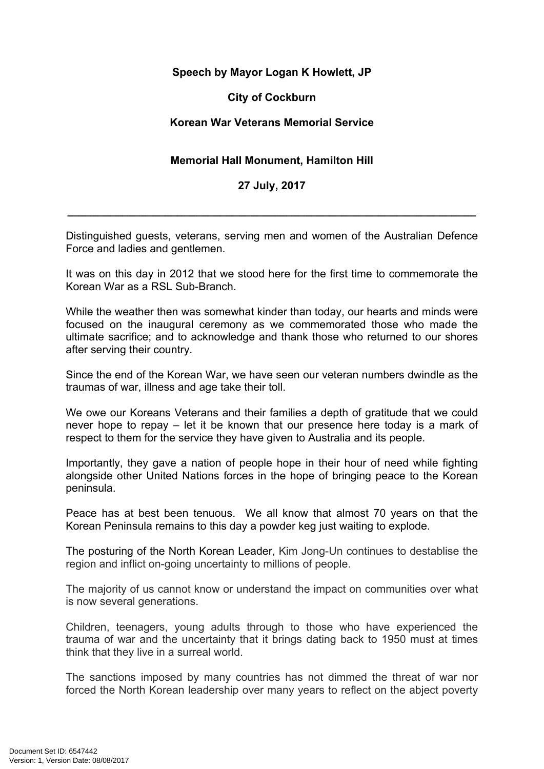# **Speech by Mayor Logan K Howlett, JP**

#### **City of Cockburn**

## **Korean War Veterans Memorial Service**

# **Memorial Hall Monument, Hamilton Hill**

### **27 July, 2017**

**\_\_\_\_\_\_\_\_\_\_\_\_\_\_\_\_\_\_\_\_\_\_\_\_\_\_\_\_\_\_\_\_\_\_\_\_\_\_\_\_\_\_\_\_\_\_\_\_\_\_\_\_\_\_\_\_\_\_\_\_\_\_\_\_\_\_\_**

Distinguished guests, veterans, serving men and women of the Australian Defence Force and ladies and gentlemen.

It was on this day in 2012 that we stood here for the first time to commemorate the Korean War as a RSL Sub-Branch.

While the weather then was somewhat kinder than today, our hearts and minds were focused on the inaugural ceremony as we commemorated those who made the ultimate sacrifice; and to acknowledge and thank those who returned to our shores after serving their country.

Since the end of the Korean War, we have seen our veteran numbers dwindle as the traumas of war, illness and age take their toll.

We owe our Koreans Veterans and their families a depth of gratitude that we could never hope to repay – let it be known that our presence here today is a mark of respect to them for the service they have given to Australia and its people.

Importantly, they gave a nation of people hope in their hour of need while fighting alongside other United Nations forces in the hope of bringing peace to the Korean peninsula.

Peace has at best been tenuous. We all know that almost 70 years on that the Korean Peninsula remains to this day a powder keg just waiting to explode.

The posturing of the North Korean Leader, Kim Jong-Un continues to destablise the region and inflict on-going uncertainty to millions of people.

The majority of us cannot know or understand the impact on communities over what is now several generations.

Children, teenagers, young adults through to those who have experienced the trauma of war and the uncertainty that it brings dating back to 1950 must at times think that they live in a surreal world.

The sanctions imposed by many countries has not dimmed the threat of war nor forced the North Korean leadership over many years to reflect on the abject poverty